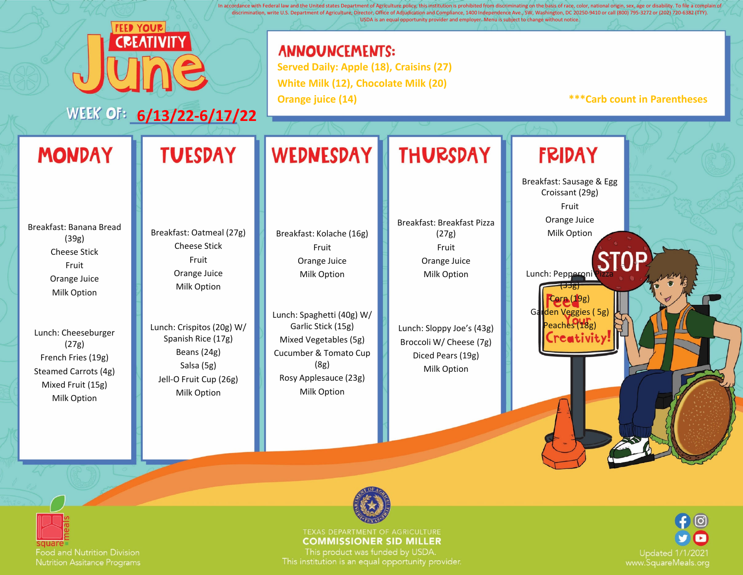

**6/13/22‐6/17/22**

## **ANNOUNCEMENTS:**

accordance with Federal law

**Served Daily: Apple (18), Craisins (27) White Milk (12), Chocolate Milk (20) Orange juice (14) \*\*\*Carb count in Parentheses**

Breakfast: Sausage & Egg Croissant (29g) FruitOrange Juice Milk Option

**FRIDAY** 

Lunch: Pepperoni <mark>Pizza</mark>  $(33g)$ Corn (19g) Garden Veggies ( 5g) Peaches (18g)

'eativit)

**MONDAY** 

Breakfast: Banana Bread (39g) Cheese Stick FruitOrange Juice Milk Option

Lunch: Cheeseburger (27g) French Fries (19g) Steamed Carrots (4g) Mixed Fruit (15g) Milk Option

Breakfast: Oatmeal (27g) Cheese Stick FruitOrange Juice Milk Option

**TUESDAY** 

Lunch: Crispitos (20g) W/ Spanish Rice (17g) Beans (24g) Salsa (5g) Jell‐O Fruit Cup (26g) Milk Option

Breakfast: Kolache (16g) FruitOrange Juice Milk Option

WEDNESDAY

Lunch: Spaghetti (40g) W/ Garlic Stick (15g) Mixed Vegetables (5g) Cucumber & Tomato Cup (8g) Rosy Applesauce (23g) Milk Option

Breakfast: Breakfast Pizza(27g) FruitOrange Juice Milk Option

**THURSDAY** 

w and the United states Department of Agriculture policy, this institution is prohibited from discriminating on the basis of race, color, national origin, sex, age or disability. To file a complain of ent of Agriculture, Director, Office of Adjudication and Compliance, 1400 Independence Ave., SW, Washington, DC 20250‐9410 or call (800) 795‐3272 or (202) 720‐6382 (TTY).

USDA is an equal opportunity provider and employer. Menu is subject to change without notice.

Lunch: Sloppy Joe's (43g) Broccoli W/ Cheese (7g) Diced Pears (19g) Milk Option

**COMMISSIONER SID MILLER**